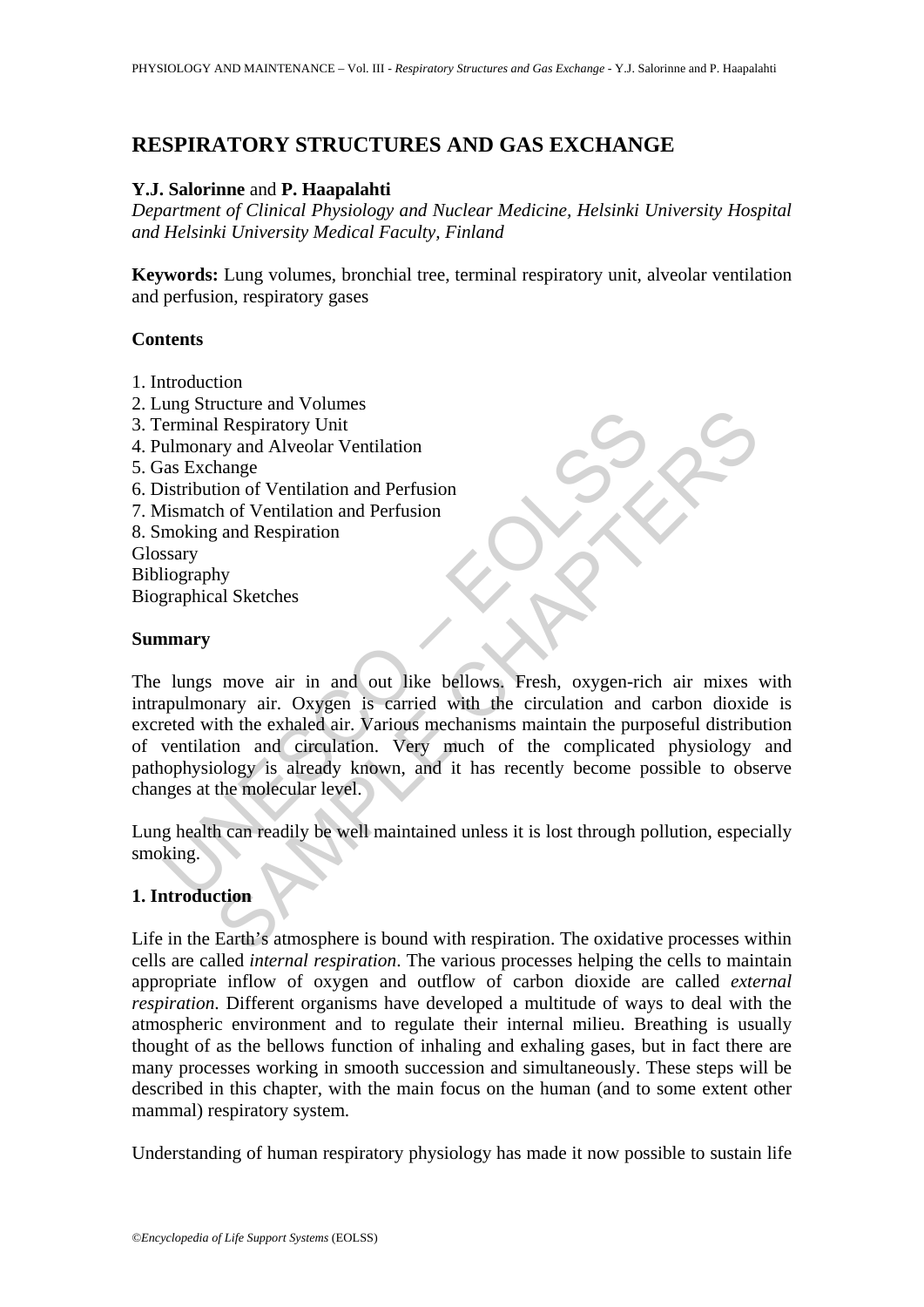# **RESPIRATORY STRUCTURES AND GAS EXCHANGE**

## **Y.J. Salorinne** and **P. Haapalahti**

*Department of Clinical Physiology and Nuclear Medicine, Helsinki University Hospital and Helsinki University Medical Faculty, Finland* 

**Keywords:** Lung volumes, bronchial tree, terminal respiratory unit, alveolar ventilation and perfusion, respiratory gases

## **Contents**

- 1. Introduction
- 2. Lung Structure and Volumes
- 3. Terminal Respiratory Unit
- 4. Pulmonary and Alveolar Ventilation
- 5. Gas Exchange
- 6. Distribution of Ventilation and Perfusion
- 7. Mismatch of Ventilation and Perfusion
- 8. Smoking and Respiration Glossary Bibliography
- Biographical Sketches

#### **Summary**

Explanation and Voltains and Voltains and Voltains and Microsofterminal Respiratory Unit<br>
ulmonary and Alveolar Ventilation<br>
moking and Respiration<br>
moking and Respiration<br>
moking and Respiration<br>
moking and Respiration<br>
m Collar Communist<br>
I Respiratory Unit<br>
It expiratory Unit<br>
In the straight of Ventilation<br>
the of Ventilation and Perfusion<br>
the of Ventilation and Perfusion<br>
the exhaled air. Varyion is carried with the circulation and car The lungs move air in and out like bellows. Fresh, oxygen-rich air mixes with intrapulmonary air. Oxygen is carried with the circulation and carbon dioxide is excreted with the exhaled air. Various mechanisms maintain the purposeful distribution of ventilation and circulation. Very much of the complicated physiology and pathophysiology is already known, and it has recently become possible to observe changes at the molecular level.

Lung health can readily be well maintained unless it is lost through pollution, especially smoking.

## **1. Introduction**

Life in the Earth's atmosphere is bound with respiration. The oxidative processes within cells are called *internal respiration*. The various processes helping the cells to maintain appropriate inflow of oxygen and outflow of carbon dioxide are called *external respiration*. Different organisms have developed a multitude of ways to deal with the atmospheric environment and to regulate their internal milieu. Breathing is usually thought of as the bellows function of inhaling and exhaling gases, but in fact there are many processes working in smooth succession and simultaneously. These steps will be described in this chapter, with the main focus on the human (and to some extent other mammal) respiratory system.

Understanding of human respiratory physiology has made it now possible to sustain life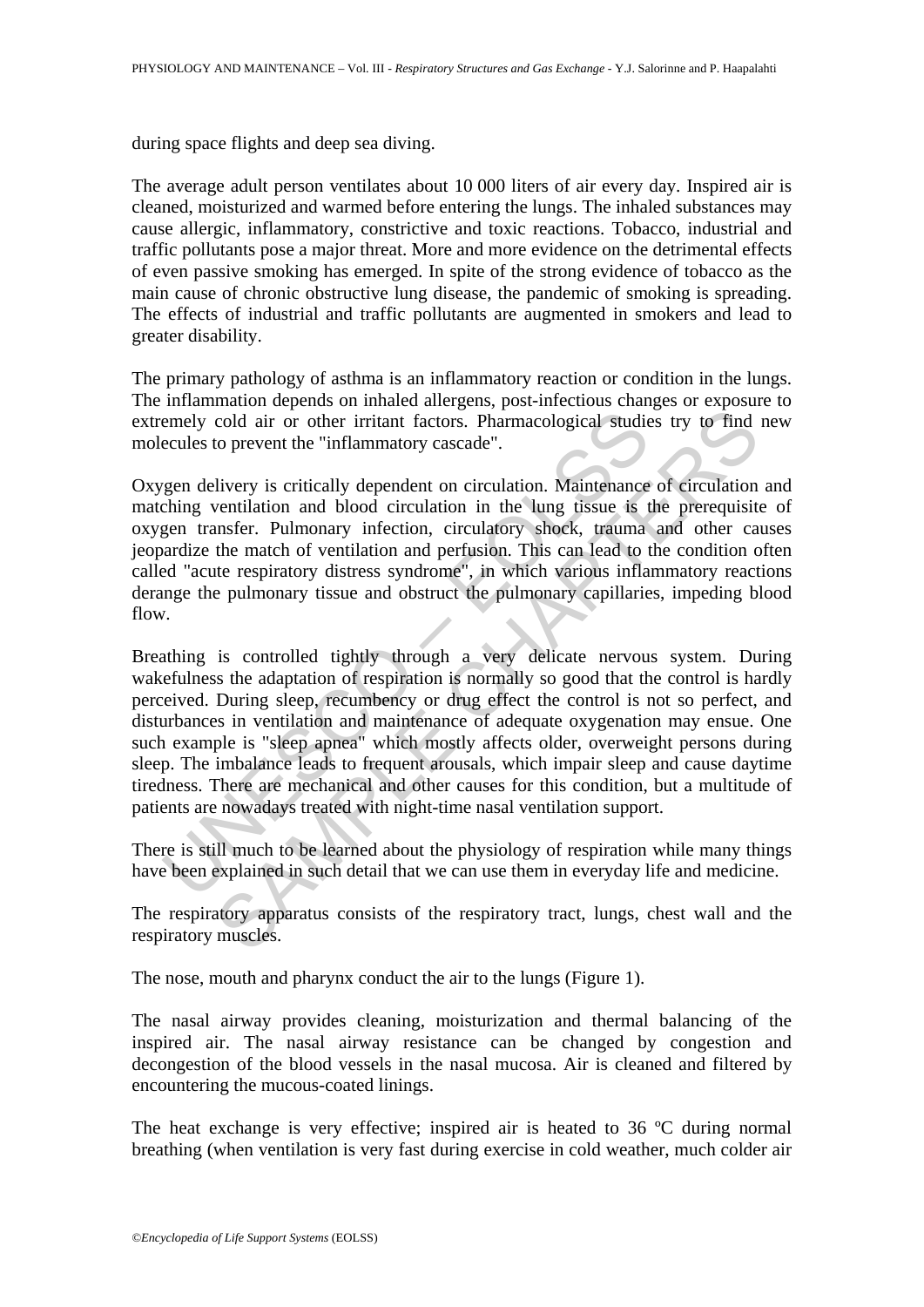during space flights and deep sea diving.

The average adult person ventilates about 10 000 liters of air every day. Inspired air is cleaned, moisturized and warmed before entering the lungs. The inhaled substances may cause allergic, inflammatory, constrictive and toxic reactions. Tobacco, industrial and traffic pollutants pose a major threat. More and more evidence on the detrimental effects of even passive smoking has emerged. In spite of the strong evidence of tobacco as the main cause of chronic obstructive lung disease, the pandemic of smoking is spreading. The effects of industrial and traffic pollutants are augmented in smokers and lead to greater disability.

The primary pathology of asthma is an inflammatory reaction or condition in the lungs. The inflammation depends on inhaled allergens, post-infectious changes or exposure to extremely cold air or other irritant factors. Pharmacological studies try to find new molecules to prevent the "inflammatory cascade".

Oxygen delivery is critically dependent on circulation. Maintenance of circulation and matching ventilation and blood circulation in the lung tissue is the prerequisite of oxygen transfer. Pulmonary infection, circulatory shock, trauma and other causes jeopardize the match of ventilation and perfusion. This can lead to the condition often called "acute respiratory distress syndrome", in which various inflammatory reactions derange the pulmonary tissue and obstruct the pulmonary capillaries, impeding blood flow.

emely cold air or other irritant factors. Pharmacological studie<br>ecules to prevent the "inflammatory cascade".<br>
seen delivery is critically dependent on circulation. Maintenance<br>
the my distribution and blood circulation i cold air or other irritant factors. Pharmacological studies try to find<br>to prevent the "inflammatory cascade".<br>Hivery is critically dependent on circulation. Maintenance of circulation<br>ventilation and blood circulation in Breathing is controlled tightly through a very delicate nervous system. During wakefulness the adaptation of respiration is normally so good that the control is hardly perceived. During sleep, recumbency or drug effect the control is not so perfect, and disturbances in ventilation and maintenance of adequate oxygenation may ensue. One such example is "sleep apnea" which mostly affects older, overweight persons during sleep. The imbalance leads to frequent arousals, which impair sleep and cause daytime tiredness. There are mechanical and other causes for this condition, but a multitude of patients are nowadays treated with night-time nasal ventilation support.

There is still much to be learned about the physiology of respiration while many things have been explained in such detail that we can use them in everyday life and medicine.

The respiratory apparatus consists of the respiratory tract, lungs, chest wall and the respiratory muscles.

The nose, mouth and pharynx conduct the air to the lungs (Figure 1).

The nasal airway provides cleaning, moisturization and thermal balancing of the inspired air. The nasal airway resistance can be changed by congestion and decongestion of the blood vessels in the nasal mucosa. Air is cleaned and filtered by encountering the mucous-coated linings.

The heat exchange is very effective; inspired air is heated to 36 ºC during normal breathing (when ventilation is very fast during exercise in cold weather, much colder air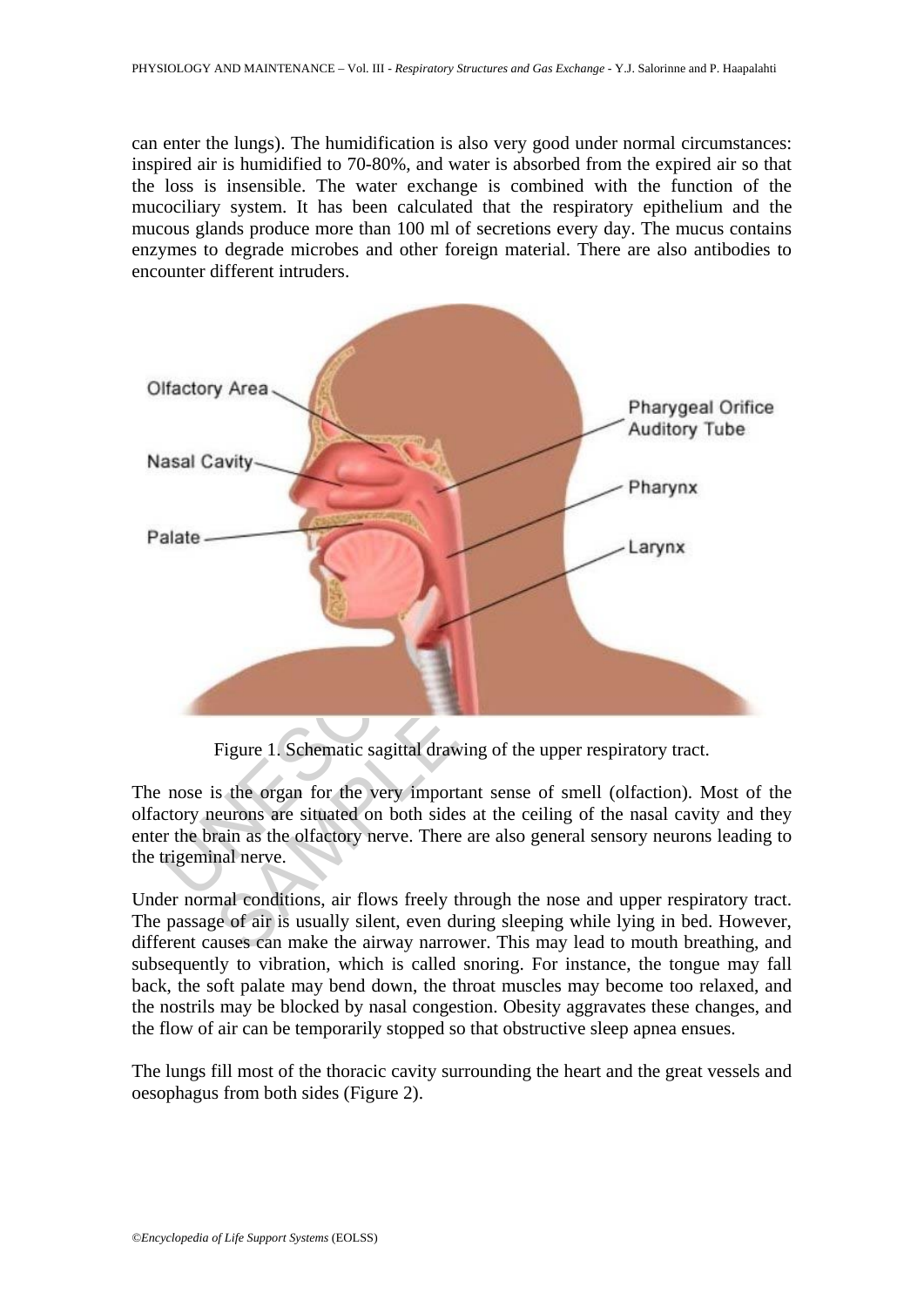can enter the lungs). The humidification is also very good under normal circumstances: inspired air is humidified to 70-80%, and water is absorbed from the expired air so that the loss is insensible. The water exchange is combined with the function of the mucociliary system. It has been calculated that the respiratory epithelium and the mucous glands produce more than 100 ml of secretions every day. The mucus contains enzymes to degrade microbes and other foreign material. There are also antibodies to encounter different intruders.



Figure 1. Schematic sagittal drawing of the upper respiratory tract.

The nose is the organ for the very important sense of smell (olfaction). Most of the olfactory neurons are situated on both sides at the ceiling of the nasal cavity and they enter the brain as the olfactory nerve. There are also general sensory neurons leading to the trigeminal nerve.

Under normal conditions, air flows freely through the nose and upper respiratory tract. The passage of air is usually silent, even during sleeping while lying in bed. However, different causes can make the airway narrower. This may lead to mouth breathing, and subsequently to vibration, which is called snoring. For instance, the tongue may fall back, the soft palate may bend down, the throat muscles may become too relaxed, and the nostrils may be blocked by nasal congestion. Obesity aggravates these changes, and the flow of air can be temporarily stopped so that obstructive sleep apnea ensues.

The lungs fill most of the thoracic cavity surrounding the heart and the great vessels and oesophagus from both sides (Figure 2).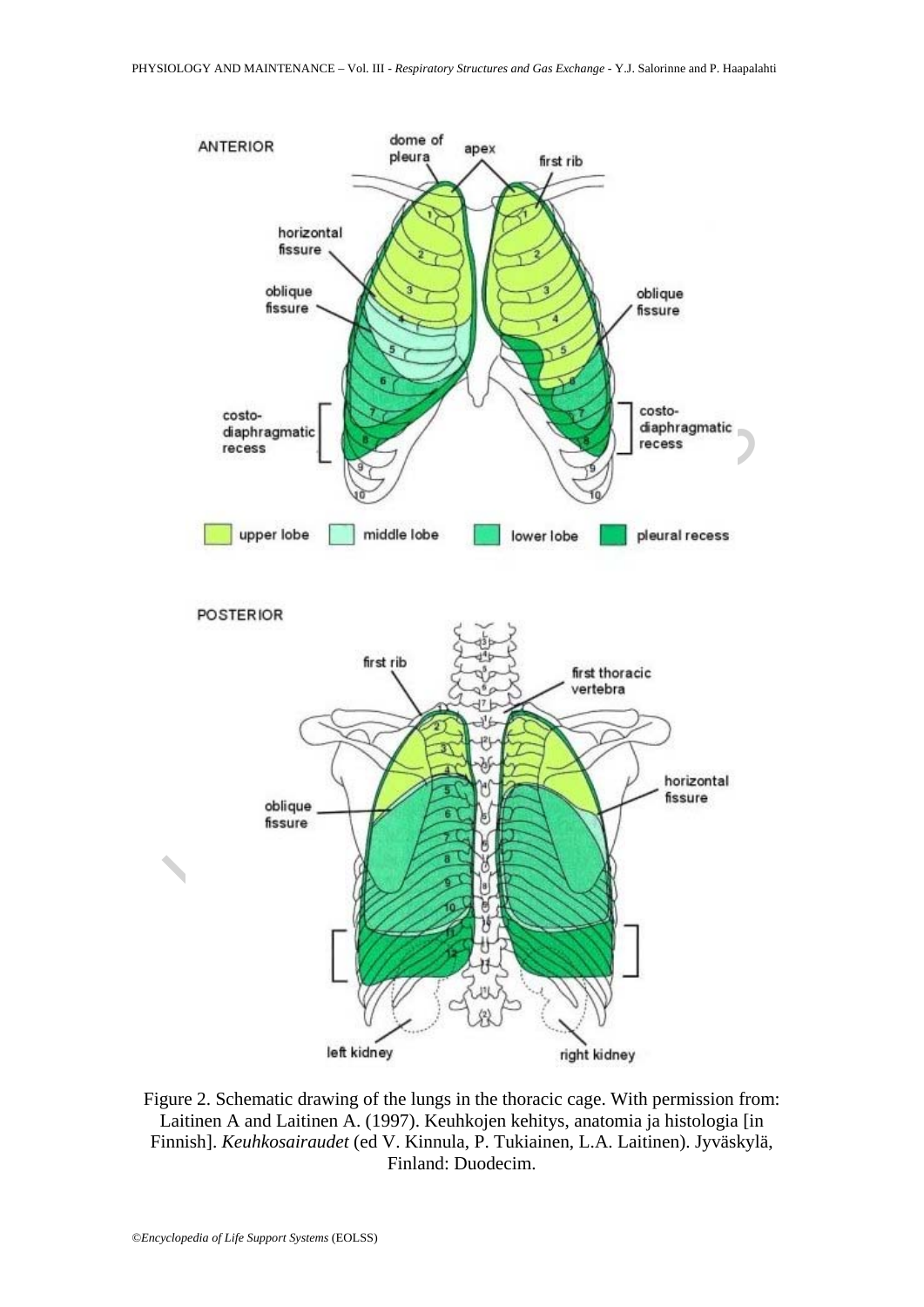

Figure 2. Schematic drawing of the lungs in the thoracic cage. With permission from: Laitinen A and Laitinen A. (1997). Keuhkojen kehitys, anatomia ja histologia [in Finnish]. *Keuhkosairaudet* (ed V. Kinnula, P. Tukiainen, L.A. Laitinen). Jyväskylä, Finland: Duodecim.